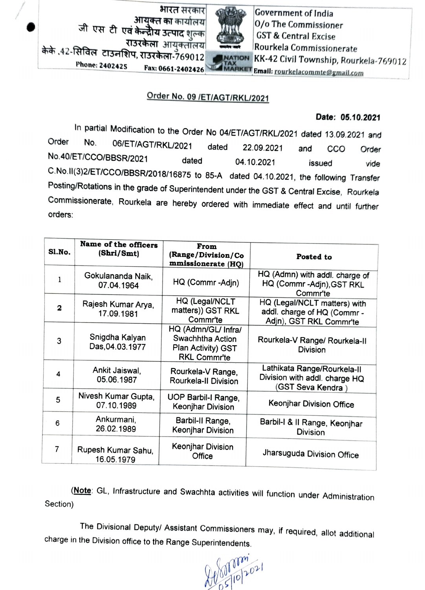भारत सरकार **आयुक्त का** कार्यालय जी एस टी एवं केन ोय उत्पाद शल्क राउरकेला आयुक्तॉलय किके 42-सिविल टाउनशिप, राउरकेला -769012 Rourkela Commissionerate<br>Phone: 2402425 Fax: 0661 3403425 FAX



Government of India 0/o The Commissioner GST & Central Excise 132 The Parties of Tax: 132 The Research Civil Township, Rourkela-769012 Email: rourkelacommte@gmail.com

## Order No. 09 /ET/AGT/RKL/2021

## Date: 05.10.2021

In partial Modification to the Order No 04/ETIAGT/RKL/2021 dated 13.09.2021 and Order No. 06/ET/AGT/RKL/2021 dated 22.09.2021 and CCO Order No.40/ET/CCO/BBSR/2021 dated 04.10.2021 issued vide C.No.lI(3)2/ETICCO/BBSR/2018/16875 to 85-A dated 04.10.2021, the following Transfer Posting/Rotations in the grade of Superintendent under the GST & Central Excise, Rourkela Commissionerate, Rourkela are hereby ordered with immediate effect and until further orders:

| Sl.No. | Name of the officers<br>(Shri/Smt) | From<br>(Range/Division/Co<br>mmissionerate (HQ)                                     | Posted to                                                                              |
|--------|------------------------------------|--------------------------------------------------------------------------------------|----------------------------------------------------------------------------------------|
|        | Gokulananda Naik,<br>07.04.1964    | HQ (Commr-Adjn)                                                                      | HQ (Admn) with addl. charge of<br>HQ (Commr-Adjn), GST RKL<br>Commr'te                 |
| 2      | Rajesh Kumar Arya,<br>17.09.1981   | HQ (Legal/NCLT<br>matters)) GST RKL<br>Commr'te                                      | HQ (Legal/NCLT matters) with<br>addl. charge of HQ (Commr -<br>Adjn), GST RKL Commr'te |
| 3      | Snigdha Kalyan<br>Das, 04.03.1977  | HQ (Admn/GL/ Infra/<br>Swachhtha Action<br>Plan Activity) GST<br><b>RKL Commr'te</b> | Rourkela-V Range/ Rourkela-II<br><b>Division</b>                                       |
| 4      | Ankit Jaiswal,<br>05.06.1987       | Rourkela-V Range,<br>Rourkela-II Division                                            | Lathikata Range/Rourkela-II<br>Division with addl. charge HQ<br>(GST Seva Kendra)      |
| 5      | Nivesh Kumar Gupta,<br>07.10.1989  | UOP Barbil-I Range,<br>Keonjhar Division                                             | Keonjhar Division Office                                                               |
| 6      | Ankurmani,<br>26.02.1989           | Barbil-II Range,<br>Keonjhar Division                                                | Barbil-I & II Range, Keonjhar<br><b>Division</b>                                       |
| 7      | Rupesh Kumar Sahu,<br>16.05.1979   | Keonjhar Division<br>Office                                                          | Jharsuguda Division Office                                                             |

(Note: GL, Infrastructure and Swachhta activities will function under Administration Section)

The Divisional Deputy/ Assistant Commissioners may, if required, allot additional charge in the Division office to the Range Superintendents.

 $20210702021$